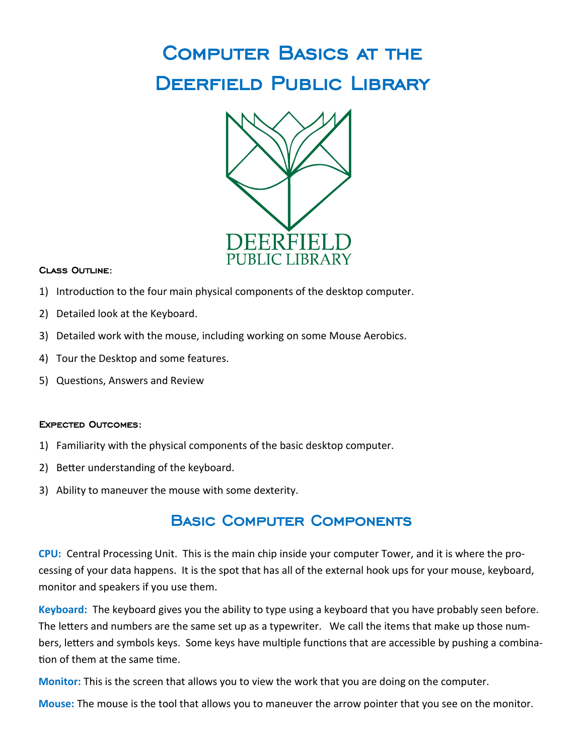# Computer Basics at the DEERFIELD PUBLIC LIBRARY



### Class Outline:

- 1) Introduction to the four main physical components of the desktop computer.
- 2) Detailed look at the Keyboard.
- 3) Detailed work with the mouse, including working on some Mouse Aerobics.
- 4) Tour the Desktop and some features.
- 5) Questions, Answers and Review

### Expected Outcomes:

- 1) Familiarity with the physical components of the basic desktop computer.
- 2) Better understanding of the keyboard.
- 3) Ability to maneuver the mouse with some dexterity.

## Basic Computer Components

**CPU:** Central Processing Unit. This is the main chip inside your computer Tower, and it is where the processing of your data happens. It is the spot that has all of the external hook ups for your mouse, keyboard, monitor and speakers if you use them.

**Keyboard:** The keyboard gives you the ability to type using a keyboard that you have probably seen before. The letters and numbers are the same set up as a typewriter. We call the items that make up those numbers, letters and symbols keys. Some keys have multiple functions that are accessible by pushing a combination of them at the same time.

**Monitor:** This is the screen that allows you to view the work that you are doing on the computer.

**Mouse:** The mouse is the tool that allows you to maneuver the arrow pointer that you see on the monitor.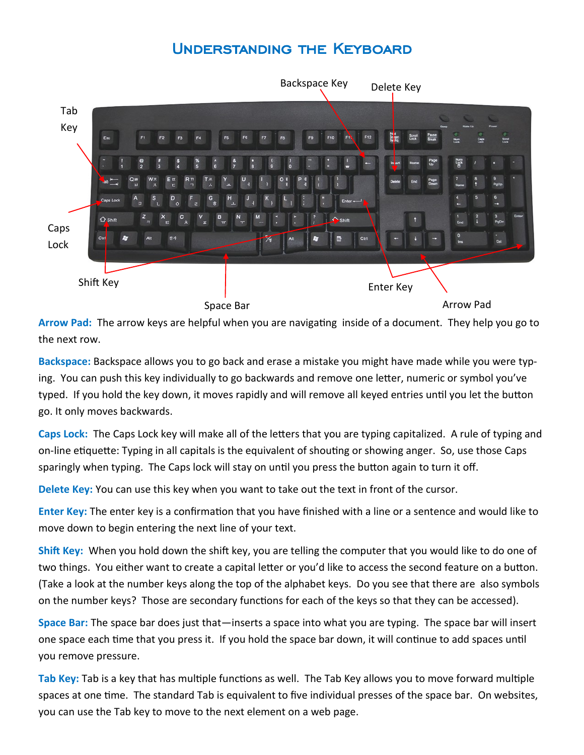# Understanding the Keyboard



**Arrow Pad:** The arrow keys are helpful when you are navigating inside of a document. They help you go to the next row.

**Backspace:** Backspace allows you to go back and erase a mistake you might have made while you were typing. You can push this key individually to go backwards and remove one letter, numeric or symbol you've typed. If you hold the key down, it moves rapidly and will remove all keyed entries until you let the button go. It only moves backwards.

**Caps Lock:** The Caps Lock key will make all of the letters that you are typing capitalized. A rule of typing and on-line etiquette: Typing in all capitals is the equivalent of shouting or showing anger. So, use those Caps sparingly when typing. The Caps lock will stay on until you press the button again to turn it off.

**Delete Key:** You can use this key when you want to take out the text in front of the cursor.

**Enter Key:** The enter key is a confirmation that you have finished with a line or a sentence and would like to move down to begin entering the next line of your text.

**Shift Key:** When you hold down the shift key, you are telling the computer that you would like to do one of two things. You either want to create a capital letter or you'd like to access the second feature on a button. (Take a look at the number keys along the top of the alphabet keys. Do you see that there are also symbols on the number keys? Those are secondary functions for each of the keys so that they can be accessed).

**Space Bar:** The space bar does just that—inserts a space into what you are typing. The space bar will insert one space each time that you press it. If you hold the space bar down, it will continue to add spaces until you remove pressure.

**Tab Key:** Tab is a key that has multiple functions as well. The Tab Key allows you to move forward multiple spaces at one time. The standard Tab is equivalent to five individual presses of the space bar. On websites, you can use the Tab key to move to the next element on a web page.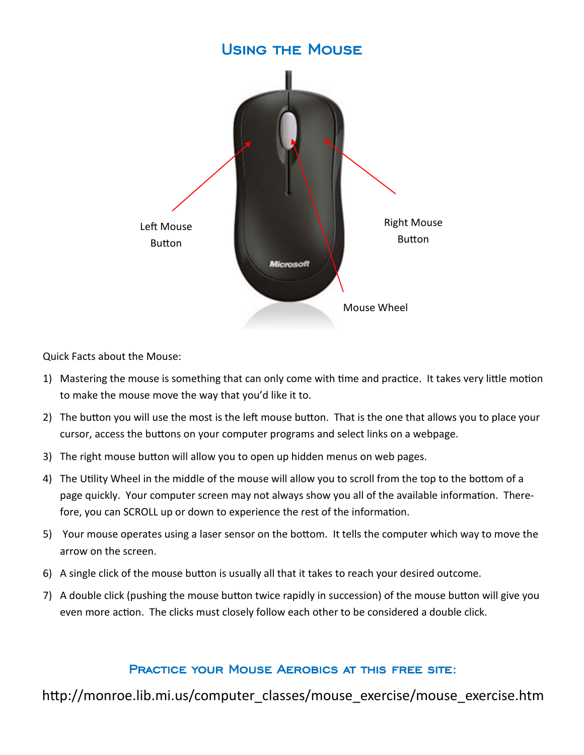## Using the Mouse

![](_page_2_Picture_1.jpeg)

Quick Facts about the Mouse:

- 1) Mastering the mouse is something that can only come with time and practice. It takes very little motion to make the mouse move the way that you'd like it to.
- 2) The button you will use the most is the left mouse button. That is the one that allows you to place your cursor, access the buttons on your computer programs and select links on a webpage.
- 3) The right mouse button will allow you to open up hidden menus on web pages.
- 4) The Utility Wheel in the middle of the mouse will allow you to scroll from the top to the bottom of a page quickly. Your computer screen may not always show you all of the available information. Therefore, you can SCROLL up or down to experience the rest of the information.
- 5) Your mouse operates using a laser sensor on the bottom. It tells the computer which way to move the arrow on the screen.
- 6) A single click of the mouse button is usually all that it takes to reach your desired outcome.
- 7) A double click (pushing the mouse button twice rapidly in succession) of the mouse button will give you even more action. The clicks must closely follow each other to be considered a double click.

### Practice your Mouse Aerobics at this free site:

http://monroe.lib.mi.us/computer\_classes/mouse\_exercise/mouse\_exercise.htm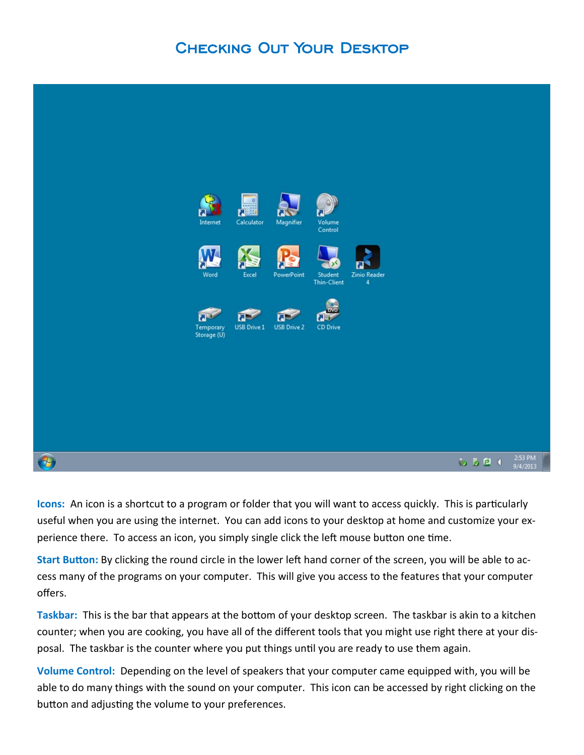# Checking Out Your Desktop

![](_page_3_Picture_1.jpeg)

**Icons:** An icon is a shortcut to a program or folder that you will want to access quickly. This is particularly useful when you are using the internet. You can add icons to your desktop at home and customize your experience there. To access an icon, you simply single click the left mouse button one time.

**Start Button:** By clicking the round circle in the lower left hand corner of the screen, you will be able to access many of the programs on your computer. This will give you access to the features that your computer offers.

**Taskbar:** This is the bar that appears at the bottom of your desktop screen. The taskbar is akin to a kitchen counter; when you are cooking, you have all of the different tools that you might use right there at your disposal. The taskbar is the counter where you put things until you are ready to use them again.

**Volume Control:** Depending on the level of speakers that your computer came equipped with, you will be able to do many things with the sound on your computer. This icon can be accessed by right clicking on the button and adjusting the volume to your preferences.